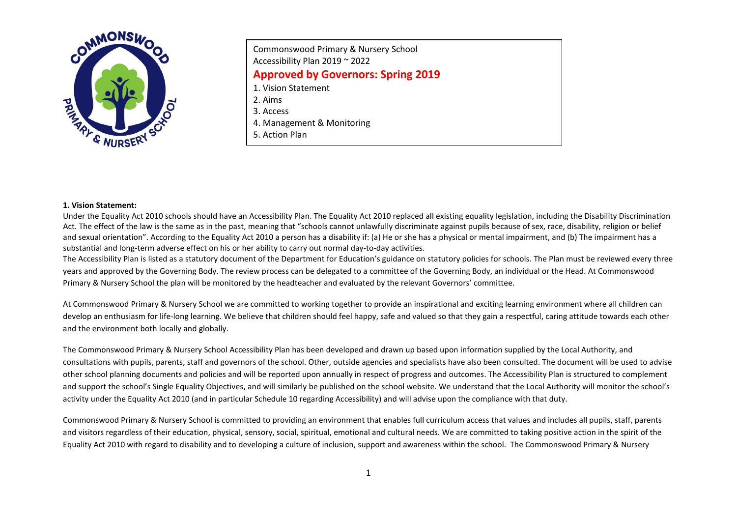

| Commonswood Primary & Nursery School<br>Accessibility Plan 2019 ~ 2022 |
|------------------------------------------------------------------------|
| <b>Approved by Governors: Spring 2019</b>                              |
| 1. Vision Statement                                                    |
| 2. Aims                                                                |
| 3. Access                                                              |
| 4. Management & Monitoring                                             |
| 5. Action Plan                                                         |

#### **1. Vision Statement:**

Under the Equality Act 2010 schools should have an Accessibility Plan. The Equality Act 2010 replaced all existing equality legislation, including the Disability Discrimination Act. The effect of the law is the same as in the past, meaning that "schools cannot unlawfully discriminate against pupils because of sex, race, disability, religion or belief and sexual orientation". According to the Equality Act 2010 a person has a disability if: (a) He or she has a physical or mental impairment, and (b) The impairment has a substantial and long-term adverse effect on his or her ability to carry out normal day-to-day activities.

The Accessibility Plan is listed as a statutory document of the Department for Education's guidance on statutory policies for schools. The Plan must be reviewed every three years and approved by the Governing Body. The review process can be delegated to a committee of the Governing Body, an individual or the Head. At Commonswood Primary & Nursery School the plan will be monitored by the headteacher and evaluated by the relevant Governors' committee.

At Commonswood Primary & Nursery School we are committed to working together to provide an inspirational and exciting learning environment where all children can develop an enthusiasm for life-long learning. We believe that children should feel happy, safe and valued so that they gain a respectful, caring attitude towards each other and the environment both locally and globally.

The Commonswood Primary & Nursery School Accessibility Plan has been developed and drawn up based upon information supplied by the Local Authority, and consultations with pupils, parents, staff and governors of the school. Other, outside agencies and specialists have also been consulted. The document will be used to advise other school planning documents and policies and will be reported upon annually in respect of progress and outcomes. The Accessibility Plan is structured to complement and support the school's Single Equality Objectives, and will similarly be published on the school website. We understand that the Local Authority will monitor the school's activity under the Equality Act 2010 (and in particular Schedule 10 regarding Accessibility) and will advise upon the compliance with that duty.

Commonswood Primary & Nursery School is committed to providing an environment that enables full curriculum access that values and includes all pupils, staff, parents and visitors regardless of their education, physical, sensory, social, spiritual, emotional and cultural needs. We are committed to taking positive action in the spirit of the Equality Act 2010 with regard to disability and to developing a culture of inclusion, support and awareness within the school. The Commonswood Primary & Nursery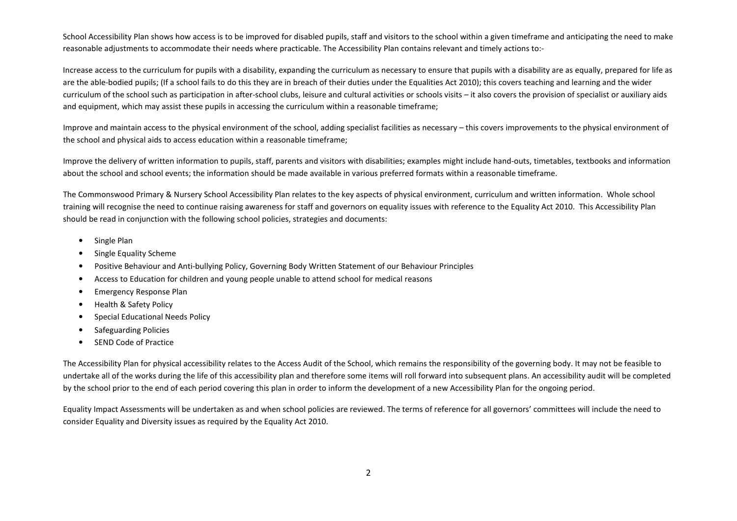School Accessibility Plan shows how access is to be improved for disabled pupils, staff and visitors to the school within a given timeframe and anticipating the need to make reasonable adjustments to accommodate their needs where practicable. The Accessibility Plan contains relevant and timely actions to:-

Increase access to the curriculum for pupils with a disability, expanding the curriculum as necessary to ensure that pupils with a disability are as equally, prepared for life as are the able-bodied pupils; (If a school fails to do this they are in breach of their duties under the Equalities Act 2010); this covers teaching and learning and the wider curriculum of the school such as participation in after-school clubs, leisure and cultural activities or schools visits – it also covers the provision of specialist or auxiliary aids and equipment, which may assist these pupils in accessing the curriculum within a reasonable timeframe;

Improve and maintain access to the physical environment of the school, adding specialist facilities as necessary – this covers improvements to the physical environment of the school and physical aids to access education within a reasonable timeframe;

Improve the delivery of written information to pupils, staff, parents and visitors with disabilities; examples might include hand-outs, timetables, textbooks and information about the school and school events; the information should be made available in various preferred formats within a reasonable timeframe.

The Commonswood Primary & Nursery School Accessibility Plan relates to the key aspects of physical environment, curriculum and written information. Whole school training will recognise the need to continue raising awareness for staff and governors on equality issues with reference to the Equality Act 2010. This Accessibility Plan should be read in conjunction with the following school policies, strategies and documents:

- •Single Plan
- •Single Equality Scheme
- •Positive Behaviour and Anti-bullying Policy, Governing Body Written Statement of our Behaviour Principles
- •Access to Education for children and young people unable to attend school for medical reasons
- •Emergency Response Plan
- •Health & Safety Policy
- •Special Educational Needs Policy
- •Safeguarding Policies
- •SEND Code of Practice

The Accessibility Plan for physical accessibility relates to the Access Audit of the School, which remains the responsibility of the governing body. It may not be feasible to undertake all of the works during the life of this accessibility plan and therefore some items will roll forward into subsequent plans. An accessibility audit will be completed by the school prior to the end of each period covering this plan in order to inform the development of a new Accessibility Plan for the ongoing period.

Equality Impact Assessments will be undertaken as and when school policies are reviewed. The terms of reference for all governors' committees will include the need to consider Equality and Diversity issues as required by the Equality Act 2010.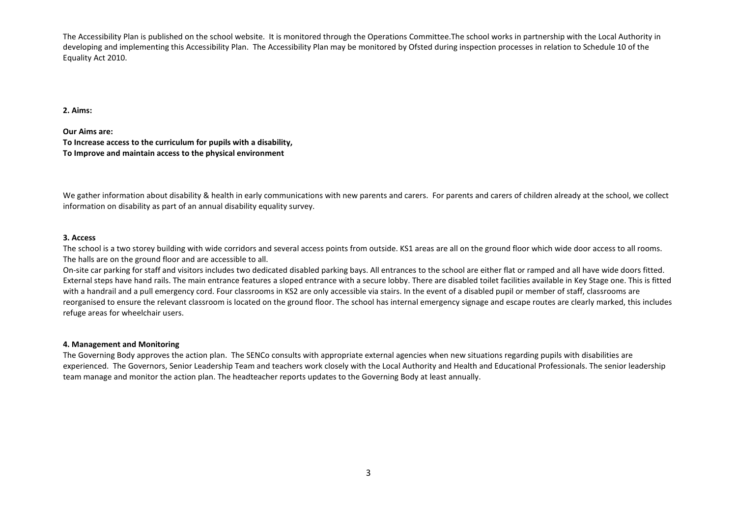The Accessibility Plan is published on the school website. It is monitored through the Operations Committee.The school works in partnership with the Local Authority in developing and implementing this Accessibility Plan. The Accessibility Plan may be monitored by Ofsted during inspection processes in relation to Schedule 10 of the Equality Act 2010.

### **2. Aims:**

**Our Aims are:** 

**To Increase access to the curriculum for pupils with a disability, To Improve and maintain access to the physical environment** 

We gather information about disability & health in early communications with new parents and carers. For parents and carers of children already at the school, we collect information on disability as part of an annual disability equality survey.

### **3. Access**

The school is a two storey building with wide corridors and several access points from outside. KS1 areas are all on the ground floor which wide door access to all rooms. The halls are on the ground floor and are accessible to all.

On-site car parking for staff and visitors includes two dedicated disabled parking bays. All entrances to the school are either flat or ramped and all have wide doors fitted. External steps have hand rails. The main entrance features a sloped entrance with a secure lobby. There are disabled toilet facilities available in Key Stage one. This is fitted with a handrail and a pull emergency cord. Four classrooms in KS2 are only accessible via stairs. In the event of a disabled pupil or member of staff, classrooms are reorganised to ensure the relevant classroom is located on the ground floor. The school has internal emergency signage and escape routes are clearly marked, this includes refuge areas for wheelchair users.

## **4. Management and Monitoring**

The Governing Body approves the action plan. The SENCo consults with appropriate external agencies when new situations regarding pupils with disabilities are experienced. The Governors, Senior Leadership Team and teachers work closely with the Local Authority and Health and Educational Professionals. The senior leadership team manage and monitor the action plan. The headteacher reports updates to the Governing Body at least annually.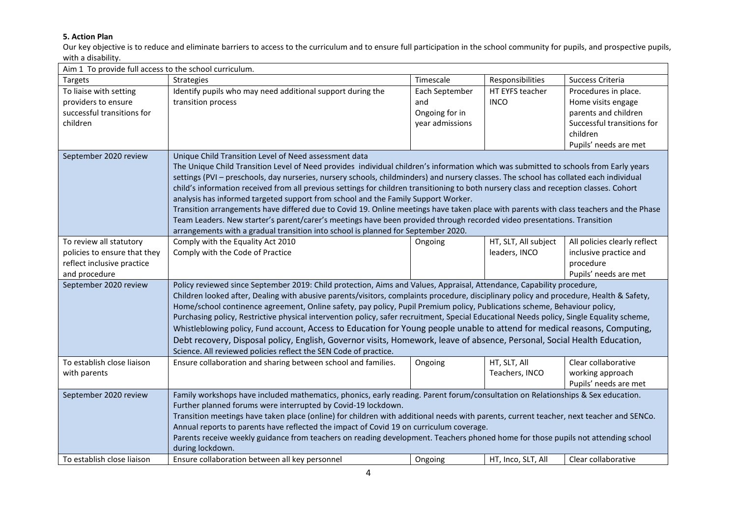# **5. Action Plan**

 Our key objective is to reduce and eliminate barriers to access to the curriculum and to ensure full participation in the school community for pupils, and prospective pupils, with a disability.

| Aim 1 To provide full access to the school curriculum. |                                                                                                                                           |                 |                      |                              |
|--------------------------------------------------------|-------------------------------------------------------------------------------------------------------------------------------------------|-----------------|----------------------|------------------------------|
| Targets                                                | Strategies                                                                                                                                | Timescale       | Responsibilities     | Success Criteria             |
| To liaise with setting                                 | Identify pupils who may need additional support during the                                                                                | Each September  | HT EYFS teacher      | Procedures in place.         |
| providers to ensure                                    | transition process                                                                                                                        | and             | <b>INCO</b>          | Home visits engage           |
| successful transitions for                             |                                                                                                                                           | Ongoing for in  |                      | parents and children         |
| children                                               |                                                                                                                                           | year admissions |                      | Successful transitions for   |
|                                                        |                                                                                                                                           |                 |                      | children                     |
|                                                        |                                                                                                                                           |                 |                      | Pupils' needs are met        |
| September 2020 review                                  | Unique Child Transition Level of Need assessment data                                                                                     |                 |                      |                              |
|                                                        | The Unique Child Transition Level of Need provides individual children's information which was submitted to schools from Early years      |                 |                      |                              |
|                                                        | settings (PVI - preschools, day nurseries, nursery schools, childminders) and nursery classes. The school has collated each individual    |                 |                      |                              |
|                                                        | child's information received from all previous settings for children transitioning to both nursery class and reception classes. Cohort    |                 |                      |                              |
|                                                        | analysis has informed targeted support from school and the Family Support Worker.                                                         |                 |                      |                              |
|                                                        | Transition arrangements have differed due to Covid 19. Online meetings have taken place with parents with class teachers and the Phase    |                 |                      |                              |
|                                                        | Team Leaders. New starter's parent/carer's meetings have been provided through recorded video presentations. Transition                   |                 |                      |                              |
|                                                        | arrangements with a gradual transition into school is planned for September 2020.                                                         |                 |                      |                              |
| To review all statutory                                | Comply with the Equality Act 2010                                                                                                         | Ongoing         | HT, SLT, All subject | All policies clearly reflect |
| policies to ensure that they                           | Comply with the Code of Practice                                                                                                          |                 | leaders, INCO        | inclusive practice and       |
| reflect inclusive practice                             |                                                                                                                                           |                 |                      | procedure                    |
| and procedure                                          |                                                                                                                                           |                 |                      | Pupils' needs are met        |
| September 2020 review                                  | Policy reviewed since September 2019: Child protection, Aims and Values, Appraisal, Attendance, Capability procedure,                     |                 |                      |                              |
|                                                        | Children looked after, Dealing with abusive parents/visitors, complaints procedure, disciplinary policy and procedure, Health & Safety,   |                 |                      |                              |
|                                                        | Home/school continence agreement, Online safety, pay policy, Pupil Premium policy, Publications scheme, Behaviour policy,                 |                 |                      |                              |
|                                                        | Purchasing policy, Restrictive physical intervention policy, safer recruitment, Special Educational Needs policy, Single Equality scheme, |                 |                      |                              |
|                                                        | Whistleblowing policy, Fund account, Access to Education for Young people unable to attend for medical reasons, Computing,                |                 |                      |                              |
|                                                        | Debt recovery, Disposal policy, English, Governor visits, Homework, leave of absence, Personal, Social Health Education,                  |                 |                      |                              |
|                                                        | Science. All reviewed policies reflect the SEN Code of practice.                                                                          |                 |                      |                              |
| To establish close liaison                             | Ensure collaboration and sharing between school and families.                                                                             | Ongoing         | HT, SLT, All         | Clear collaborative          |
| with parents                                           |                                                                                                                                           |                 | Teachers, INCO       | working approach             |
|                                                        |                                                                                                                                           |                 |                      | Pupils' needs are met        |
| September 2020 review                                  | Family workshops have included mathematics, phonics, early reading. Parent forum/consultation on Relationships & Sex education.           |                 |                      |                              |
|                                                        | Further planned forums were interrupted by Covid-19 lockdown.                                                                             |                 |                      |                              |
|                                                        | Transition meetings have taken place (online) for children with additional needs with parents, current teacher, next teacher and SENCo.   |                 |                      |                              |
|                                                        | Annual reports to parents have reflected the impact of Covid 19 on curriculum coverage.                                                   |                 |                      |                              |
|                                                        | Parents receive weekly guidance from teachers on reading development. Teachers phoned home for those pupils not attending school          |                 |                      |                              |
|                                                        | during lockdown.                                                                                                                          |                 |                      |                              |
| To establish close liaison                             | Ensure collaboration between all key personnel                                                                                            | Ongoing         | HT, Inco, SLT, All   | Clear collaborative          |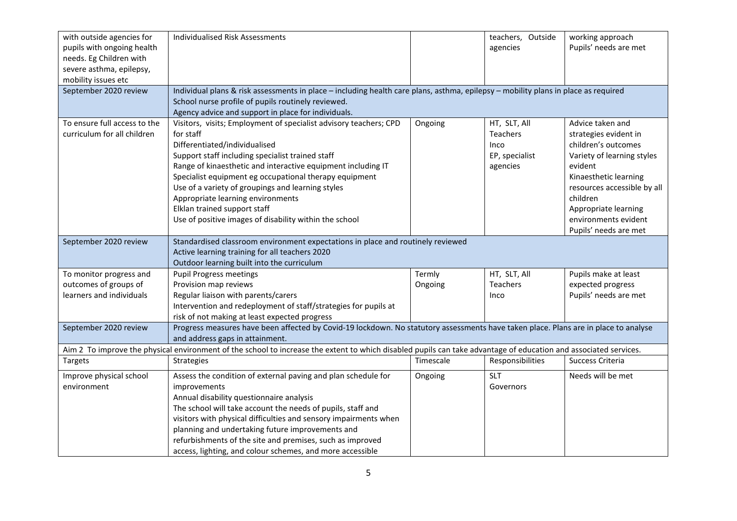| with outside agencies for<br>pupils with ongoing health<br>needs. Eg Children with<br>severe asthma, epilepsy,<br>mobility issues etc<br>September 2020 review | Individualised Risk Assessments<br>Individual plans & risk assessments in place - including health care plans, asthma, epilepsy - mobility plans in place as required                                                                                                                                                                                                                                                                                                             |                   | teachers, Outside<br>agencies                                         | working approach<br>Pupils' needs are met                                                                                                                                                                                                              |
|----------------------------------------------------------------------------------------------------------------------------------------------------------------|-----------------------------------------------------------------------------------------------------------------------------------------------------------------------------------------------------------------------------------------------------------------------------------------------------------------------------------------------------------------------------------------------------------------------------------------------------------------------------------|-------------------|-----------------------------------------------------------------------|--------------------------------------------------------------------------------------------------------------------------------------------------------------------------------------------------------------------------------------------------------|
|                                                                                                                                                                | School nurse profile of pupils routinely reviewed.<br>Agency advice and support in place for individuals.                                                                                                                                                                                                                                                                                                                                                                         |                   |                                                                       |                                                                                                                                                                                                                                                        |
| To ensure full access to the<br>curriculum for all children                                                                                                    | Visitors, visits; Employment of specialist advisory teachers; CPD<br>for staff<br>Differentiated/individualised<br>Support staff including specialist trained staff<br>Range of kinaesthetic and interactive equipment including IT<br>Specialist equipment eg occupational therapy equipment<br>Use of a variety of groupings and learning styles<br>Appropriate learning environments<br>Elklan trained support staff<br>Use of positive images of disability within the school | Ongoing           | HT, SLT, All<br><b>Teachers</b><br>Inco<br>EP, specialist<br>agencies | Advice taken and<br>strategies evident in<br>children's outcomes<br>Variety of learning styles<br>evident<br>Kinaesthetic learning<br>resources accessible by all<br>children<br>Appropriate learning<br>environments evident<br>Pupils' needs are met |
| September 2020 review                                                                                                                                          | Standardised classroom environment expectations in place and routinely reviewed<br>Active learning training for all teachers 2020<br>Outdoor learning built into the curriculum                                                                                                                                                                                                                                                                                                   |                   |                                                                       |                                                                                                                                                                                                                                                        |
| To monitor progress and<br>outcomes of groups of<br>learners and individuals                                                                                   | <b>Pupil Progress meetings</b><br>Provision map reviews<br>Regular liaison with parents/carers<br>Intervention and redeployment of staff/strategies for pupils at<br>risk of not making at least expected progress                                                                                                                                                                                                                                                                | Termly<br>Ongoing | HT, SLT, All<br>Teachers<br>Inco                                      | Pupils make at least<br>expected progress<br>Pupils' needs are met                                                                                                                                                                                     |
| September 2020 review                                                                                                                                          | Progress measures have been affected by Covid-19 lockdown. No statutory assessments have taken place. Plans are in place to analyse<br>and address gaps in attainment.                                                                                                                                                                                                                                                                                                            |                   |                                                                       |                                                                                                                                                                                                                                                        |
|                                                                                                                                                                | Aim 2 To improve the physical environment of the school to increase the extent to which disabled pupils can take advantage of education and associated services.                                                                                                                                                                                                                                                                                                                  |                   |                                                                       |                                                                                                                                                                                                                                                        |
| Targets                                                                                                                                                        | <b>Strategies</b>                                                                                                                                                                                                                                                                                                                                                                                                                                                                 | Timescale         | Responsibilities                                                      | Success Criteria                                                                                                                                                                                                                                       |
| Improve physical school<br>environment                                                                                                                         | Assess the condition of external paving and plan schedule for<br>improvements<br>Annual disability questionnaire analysis<br>The school will take account the needs of pupils, staff and<br>visitors with physical difficulties and sensory impairments when<br>planning and undertaking future improvements and<br>refurbishments of the site and premises, such as improved<br>access, lighting, and colour schemes, and more accessible                                        | Ongoing           | <b>SLT</b><br>Governors                                               | Needs will be met                                                                                                                                                                                                                                      |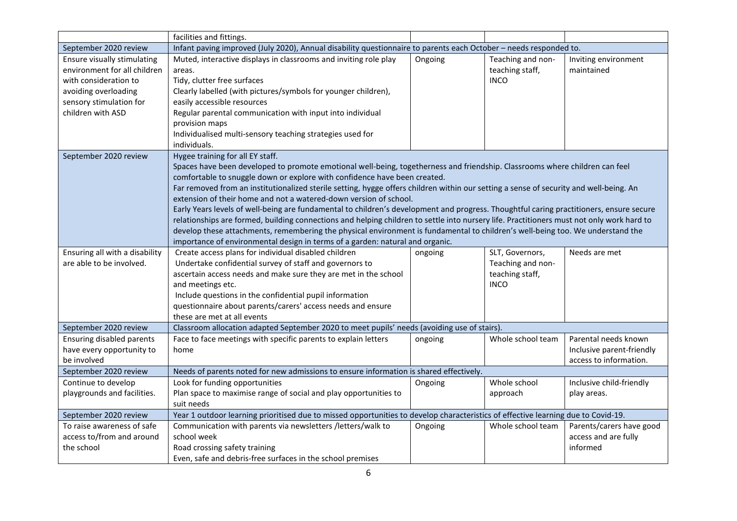|                                                                                                                                                              | facilities and fittings.                                                                                                                                                                                                                                                                                                                                                                                                                                                                                                                                                                                                                                                                                                                                                                                                                                                                                                                                                               |         |                                                                        |                                                                             |
|--------------------------------------------------------------------------------------------------------------------------------------------------------------|----------------------------------------------------------------------------------------------------------------------------------------------------------------------------------------------------------------------------------------------------------------------------------------------------------------------------------------------------------------------------------------------------------------------------------------------------------------------------------------------------------------------------------------------------------------------------------------------------------------------------------------------------------------------------------------------------------------------------------------------------------------------------------------------------------------------------------------------------------------------------------------------------------------------------------------------------------------------------------------|---------|------------------------------------------------------------------------|-----------------------------------------------------------------------------|
| September 2020 review                                                                                                                                        | Infant paving improved (July 2020), Annual disability questionnaire to parents each October - needs responded to.                                                                                                                                                                                                                                                                                                                                                                                                                                                                                                                                                                                                                                                                                                                                                                                                                                                                      |         |                                                                        |                                                                             |
| Ensure visually stimulating<br>environment for all children<br>with consideration to<br>avoiding overloading<br>sensory stimulation for<br>children with ASD | Muted, interactive displays in classrooms and inviting role play<br>areas.<br>Tidy, clutter free surfaces<br>Clearly labelled (with pictures/symbols for younger children),<br>easily accessible resources<br>Regular parental communication with input into individual<br>provision maps<br>Individualised multi-sensory teaching strategies used for                                                                                                                                                                                                                                                                                                                                                                                                                                                                                                                                                                                                                                 | Ongoing | Teaching and non-<br>teaching staff,<br><b>INCO</b>                    | Inviting environment<br>maintained                                          |
| September 2020 review                                                                                                                                        | individuals.<br>Hygee training for all EY staff.<br>Spaces have been developed to promote emotional well-being, togetherness and friendship. Classrooms where children can feel<br>comfortable to snuggle down or explore with confidence have been created.<br>Far removed from an institutionalized sterile setting, hygge offers children within our setting a sense of security and well-being. An<br>extension of their home and not a watered-down version of school.<br>Early Years levels of well-being are fundamental to children's development and progress. Thoughtful caring practitioners, ensure secure<br>relationships are formed, building connections and helping children to settle into nursery life. Practitioners must not only work hard to<br>develop these attachments, remembering the physical environment is fundamental to children's well-being too. We understand the<br>importance of environmental design in terms of a garden: natural and organic. |         |                                                                        |                                                                             |
| Ensuring all with a disability<br>are able to be involved.                                                                                                   | Create access plans for individual disabled children<br>Undertake confidential survey of staff and governors to<br>ascertain access needs and make sure they are met in the school<br>and meetings etc.<br>Include questions in the confidential pupil information<br>questionnaire about parents/carers' access needs and ensure<br>these are met at all events                                                                                                                                                                                                                                                                                                                                                                                                                                                                                                                                                                                                                       | ongoing | SLT, Governors,<br>Teaching and non-<br>teaching staff,<br><b>INCO</b> | Needs are met                                                               |
| September 2020 review                                                                                                                                        | Classroom allocation adapted September 2020 to meet pupils' needs (avoiding use of stairs)                                                                                                                                                                                                                                                                                                                                                                                                                                                                                                                                                                                                                                                                                                                                                                                                                                                                                             |         |                                                                        |                                                                             |
| <b>Ensuring disabled parents</b><br>have every opportunity to<br>be involved                                                                                 | Face to face meetings with specific parents to explain letters<br>home                                                                                                                                                                                                                                                                                                                                                                                                                                                                                                                                                                                                                                                                                                                                                                                                                                                                                                                 | ongoing | Whole school team                                                      | Parental needs known<br>Inclusive parent-friendly<br>access to information. |
| September 2020 review                                                                                                                                        | Needs of parents noted for new admissions to ensure information is shared effectively.                                                                                                                                                                                                                                                                                                                                                                                                                                                                                                                                                                                                                                                                                                                                                                                                                                                                                                 |         |                                                                        |                                                                             |
| Continue to develop<br>playgrounds and facilities.                                                                                                           | Look for funding opportunities<br>Plan space to maximise range of social and play opportunities to<br>suit needs                                                                                                                                                                                                                                                                                                                                                                                                                                                                                                                                                                                                                                                                                                                                                                                                                                                                       | Ongoing | Whole school<br>approach                                               | Inclusive child-friendly<br>play areas.                                     |
| September 2020 review                                                                                                                                        | Year 1 outdoor learning prioritised due to missed opportunities to develop characteristics of effective learning due to Covid-19.                                                                                                                                                                                                                                                                                                                                                                                                                                                                                                                                                                                                                                                                                                                                                                                                                                                      |         |                                                                        |                                                                             |
| To raise awareness of safe<br>access to/from and around<br>the school                                                                                        | Communication with parents via newsletters /letters/walk to<br>school week<br>Road crossing safety training<br>Even, safe and debris-free surfaces in the school premises                                                                                                                                                                                                                                                                                                                                                                                                                                                                                                                                                                                                                                                                                                                                                                                                              | Ongoing | Whole school team                                                      | Parents/carers have good<br>access and are fully<br>informed                |